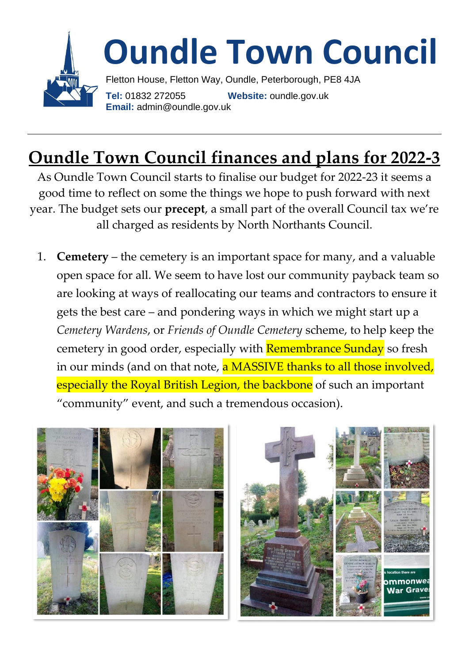

## **Oundle Town Council finances and plans for 2022-3**

As Oundle Town Council starts to finalise our budget for 2022-23 it seems a good time to reflect on some the things we hope to push forward with next year. The budget sets our **precept**, a small part of the overall Council tax we're all charged as residents by North Northants Council.

1. **Cemetery** – the cemetery is an important space for many, and a valuable open space for all. We seem to have lost our community payback team so are looking at ways of reallocating our teams and contractors to ensure it gets the best care – and pondering ways in which we might start up a *Cemetery Wardens*, or *Friends of Oundle Cemetery* scheme, to help keep the cemetery in good order, especially with **Remembrance Sunday** so fresh in our minds (and on that note, a MASSIVE thanks to all those involved, especially the Royal British Legion, the backbone of such an important "community" event, and such a tremendous occasion).



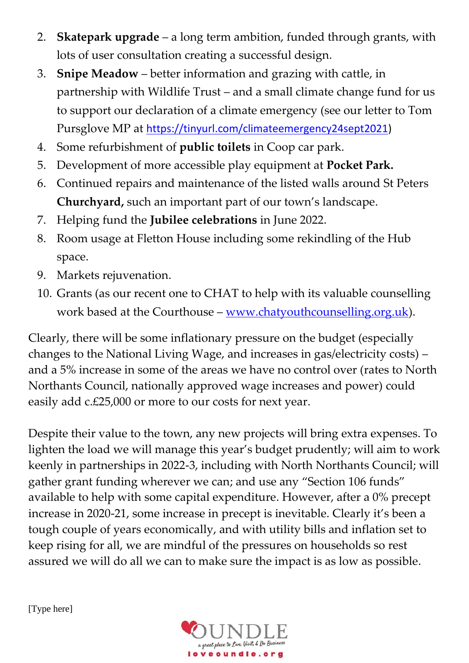- 2. **Skatepark upgrade** a long term ambition, funded through grants, with lots of user consultation creating a successful design.
- 3. **Snipe Meadow** better information and grazing with cattle, in partnership with Wildlife Trust – and a small climate change fund for us to support our declaration of a climate emergency (see our letter to Tom Pursglove MP at [https://tinyurl.com/climateemergency24sept2021\)](https://tinyurl.com/climateemergency24sept2021)
- 4. Some refurbishment of **public toilets** in Coop car park.
- 5. Development of more accessible play equipment at **Pocket Park.**
- 6. Continued repairs and maintenance of the listed walls around St Peters **Churchyard,** such an important part of our town's landscape.
- 7. Helping fund the **Jubilee celebrations** in June 2022.
- 8. Room usage at Fletton House including some rekindling of the Hub space.
- 9. Markets rejuvenation.
- 10. Grants (as our recent one to CHAT to help with its valuable counselling work based at the Courthouse – [www.chatyouthcounselling.org.uk\)](http://www.chatyouthcounselling.org.uk/).

Clearly, there will be some inflationary pressure on the budget (especially changes to the National Living Wage, and increases in gas/electricity costs) – and a 5% increase in some of the areas we have no control over (rates to North Northants Council, nationally approved wage increases and power) could easily add c.£25,000 or more to our costs for next year.

Despite their value to the town, any new projects will bring extra expenses. To lighten the load we will manage this year's budget prudently; will aim to work keenly in partnerships in 2022-3, including with North Northants Council; will gather grant funding wherever we can; and use any "Section 106 funds" available to help with some capital expenditure. However, after a 0% precept increase in 2020-21, some increase in precept is inevitable. Clearly it's been a tough couple of years economically, and with utility bills and inflation set to keep rising for all, we are mindful of the pressures on households so rest assured we will do all we can to make sure the impact is as low as possible.

[Type here]

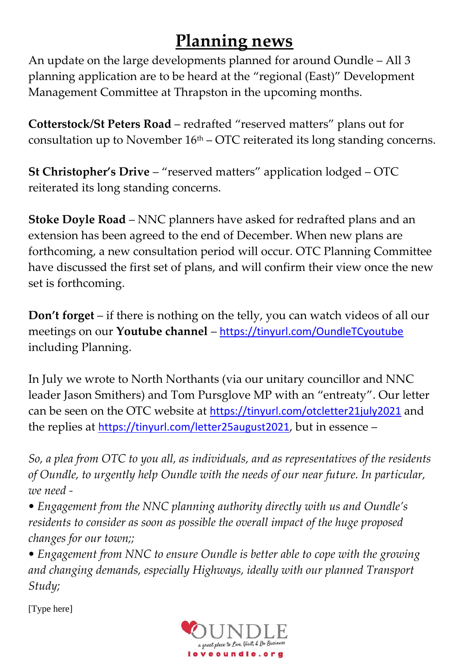## **Planning news**

An update on the large developments planned for around Oundle – All 3 planning application are to be heard at the "regional (East)" Development Management Committee at Thrapston in the upcoming months.

**Cotterstock/St Peters Road** – redrafted "reserved matters" plans out for consultation up to November  $16<sup>th</sup> - OTC$  reiterated its long standing concerns.

**St Christopher's Drive** – "reserved matters" application lodged – OTC reiterated its long standing concerns.

**Stoke Doyle Road** – NNC planners have asked for redrafted plans and an extension has been agreed to the end of December. When new plans are forthcoming, a new consultation period will occur. OTC Planning Committee have discussed the first set of plans, and will confirm their view once the new set is forthcoming.

**Don't forget** – if there is nothing on the telly, you can watch videos of all our meetings on our **Youtube channel** – <https://tinyurl.com/OundleTCyoutube> including Planning.

In July we wrote to North Northants (via our unitary councillor and NNC leader Jason Smithers) and Tom Pursglove MP with an "entreaty". Our letter can be seen on the OTC website at <https://tinyurl.com/otcletter21july2021> and the replies at <https://tinyurl.com/letter25august2021>, but in essence –

*So, a plea from OTC to you all, as individuals, and as representatives of the residents of Oundle, to urgently help Oundle with the needs of our near future. In particular, we need -*

*• Engagement from the NNC planning authority directly with us and Oundle's residents to consider as soon as possible the overall impact of the huge proposed changes for our town;;* 

*• Engagement from NNC to ensure Oundle is better able to cope with the growing and changing demands, especially Highways, ideally with our planned Transport Study;* 

[Type here]